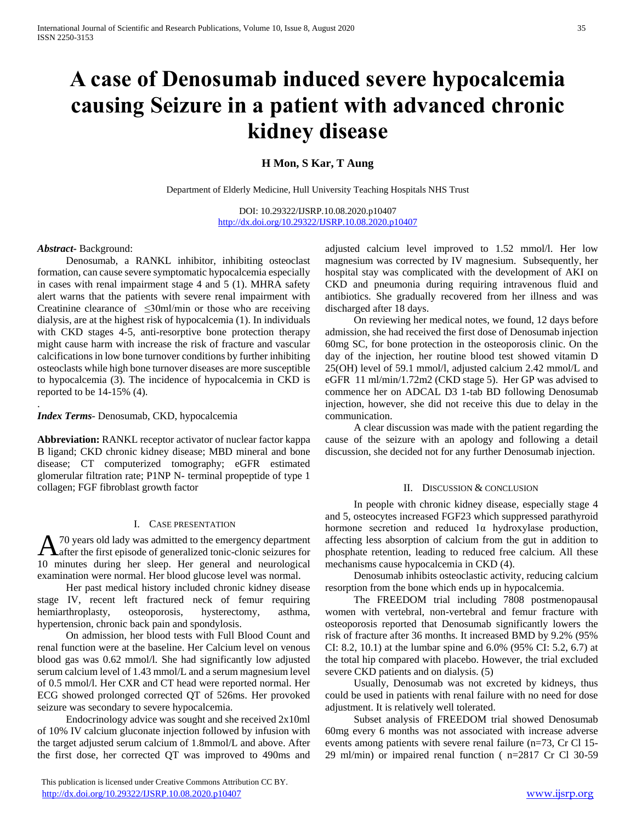# **A case of Denosumab induced severe hypocalcemia causing Seizure in a patient with advanced chronic kidney disease**

## **H Mon, S Kar, T Aung**

Department of Elderly Medicine, Hull University Teaching Hospitals NHS Trust

DOI: 10.29322/IJSRP.10.08.2020.p10407 <http://dx.doi.org/10.29322/IJSRP.10.08.2020.p10407>

#### *Abstract***-** Background:

.

 Denosumab, a RANKL inhibitor, inhibiting osteoclast formation, can cause severe symptomatic hypocalcemia especially in cases with renal impairment stage 4 and 5 (1). MHRA safety alert warns that the patients with severe renal impairment with Creatinine clearance of  $\leq 30$ ml/min or those who are receiving dialysis, are at the highest risk of hypocalcemia (1). In individuals with CKD stages 4-5, anti-resorptive bone protection therapy might cause harm with increase the risk of fracture and vascular calcifications in low bone turnover conditions by further inhibiting osteoclasts while high bone turnover diseases are more susceptible to hypocalcemia (3). The incidence of hypocalcemia in CKD is reported to be 14-15% (4).

*Index Terms*- Denosumab, CKD, hypocalcemia

**Abbreviation:** RANKL receptor activator of nuclear factor kappa B ligand; CKD chronic kidney disease; MBD mineral and bone disease; CT computerized tomography; eGFR estimated glomerular filtration rate; P1NP N- terminal propeptide of type 1 collagen; FGF fibroblast growth factor

### I. CASE PRESENTATION

70 years old lady was admitted to the emergency department A<sup>70</sup> years old lady was admitted to the emergency department<br>after the first episode of generalized tonic-clonic seizures for 10 minutes during her sleep. Her general and neurological examination were normal. Her blood glucose level was normal.

 Her past medical history included chronic kidney disease stage IV, recent left fractured neck of femur requiring hemiarthroplasty, osteoporosis, hysterectomy, asthma, hypertension, chronic back pain and spondylosis.

 On admission, her blood tests with Full Blood Count and renal function were at the baseline. Her Calcium level on venous blood gas was 0.62 mmol/l. She had significantly low adjusted serum calcium level of 1.43 mmol/L and a serum magnesium level of 0.5 mmol/l. Her CXR and CT head were reported normal. Her ECG showed prolonged corrected QT of 526ms. Her provoked seizure was secondary to severe hypocalcemia.

 Endocrinology advice was sought and she received 2x10ml of 10% IV calcium gluconate injection followed by infusion with the target adjusted serum calcium of 1.8mmol/L and above. After the first dose, her corrected QT was improved to 490ms and

 This publication is licensed under Creative Commons Attribution CC BY. <http://dx.doi.org/10.29322/IJSRP.10.08.2020.p10407> [www.ijsrp.org](http://ijsrp.org/)

adjusted calcium level improved to 1.52 mmol/l. Her low magnesium was corrected by IV magnesium. Subsequently, her hospital stay was complicated with the development of AKI on CKD and pneumonia during requiring intravenous fluid and antibiotics. She gradually recovered from her illness and was discharged after 18 days.

 On reviewing her medical notes, we found, 12 days before admission, she had received the first dose of Denosumab injection 60mg SC, for bone protection in the osteoporosis clinic. On the day of the injection, her routine blood test showed vitamin D 25(OH) level of 59.1 mmol/l, adjusted calcium 2.42 mmol/L and eGFR 11 ml/min/1.72m2 (CKD stage 5). Her GP was advised to commence her on ADCAL D3 1-tab BD following Denosumab injection, however, she did not receive this due to delay in the communication.

 A clear discussion was made with the patient regarding the cause of the seizure with an apology and following a detail discussion, she decided not for any further Denosumab injection.

#### II. DISCUSSION & CONCLUSION

 In people with chronic kidney disease, especially stage 4 and 5, osteocytes increased FGF23 which suppressed parathyroid hormone secretion and reduced 1α hydroxylase production, affecting less absorption of calcium from the gut in addition to phosphate retention, leading to reduced free calcium. All these mechanisms cause hypocalcemia in CKD (4).

 Denosumab inhibits osteoclastic activity, reducing calcium resorption from the bone which ends up in hypocalcemia.

 The FREEDOM trial including 7808 postmenopausal women with vertebral, non-vertebral and femur fracture with osteoporosis reported that Denosumab significantly lowers the risk of fracture after 36 months. It increased BMD by 9.2% (95% CI: 8.2, 10.1) at the lumbar spine and 6.0% (95% CI: 5.2, 6.7) at the total hip compared with placebo. However, the trial excluded severe CKD patients and on dialysis. (5)

 Usually, Denosumab was not excreted by kidneys, thus could be used in patients with renal failure with no need for dose adjustment. It is relatively well tolerated.

 Subset analysis of FREEDOM trial showed Denosumab 60mg every 6 months was not associated with increase adverse events among patients with severe renal failure (n=73, Cr Cl 15- 29 ml/min) or impaired renal function ( n=2817 Cr Cl 30-59